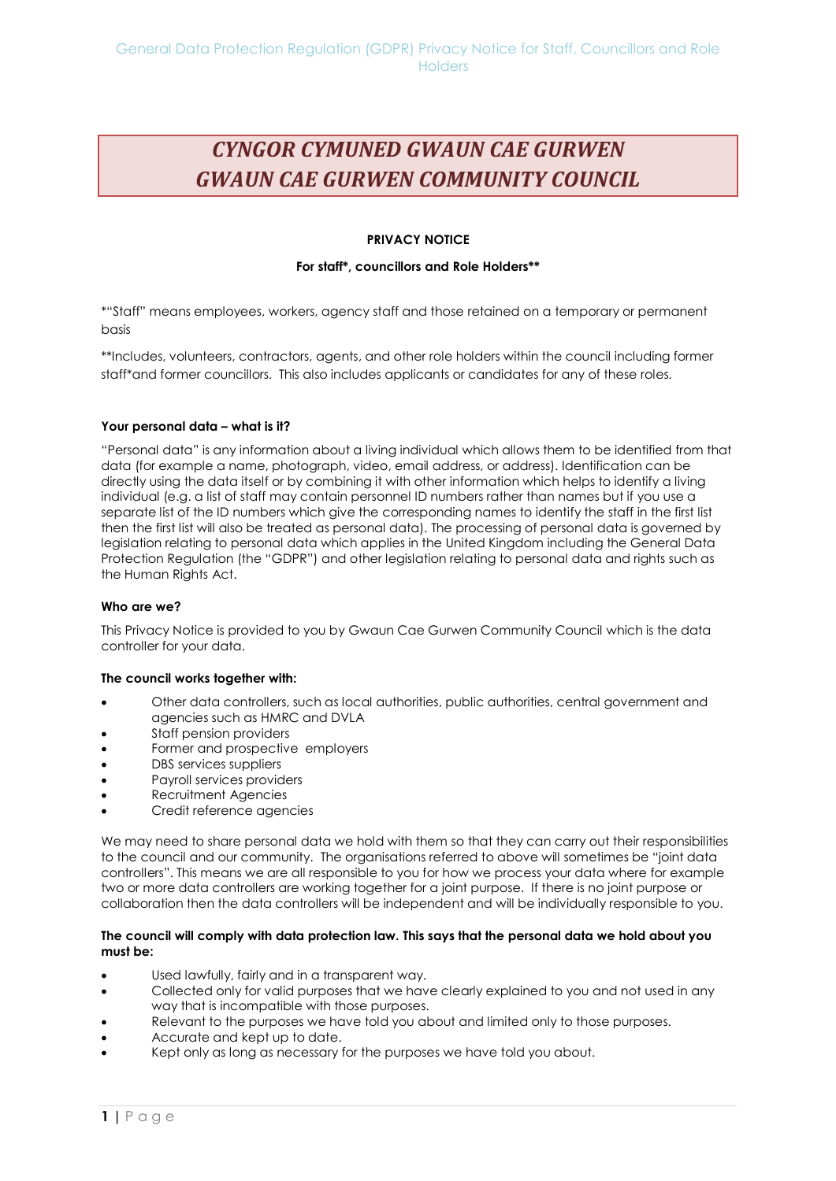# *CYNGOR CYMUNED GWAUN CAE GURWEN GWAUN CAE GURWEN COMMUNITY COUNCIL*

# **PRIVACY NOTICE**

## **For staff\*, councillors and Role Holders\*\***

\*"Staff" means employees, workers, agency staff and those retained on a temporary or permanent basis

\*\*Includes, volunteers, contractors, agents, and other role holders within the council including former staff\*and former councillors. This also includes applicants or candidates for any of these roles.

## **Your personal data – what is it?**

"Personal data" is any information about a living individual which allows them to be identified from that data (for example a name, photograph, video, email address, or address). Identification can be directly using the data itself or by combining it with other information which helps to identify a living individual (e.g. a list of staff may contain personnel ID numbers rather than names but if you use a separate list of the ID numbers which give the corresponding names to identify the staff in the first list then the first list will also be treated as personal data). The processing of personal data is governed by legislation relating to personal data which applies in the United Kingdom including the General Data Protection Regulation (the "GDPR") and other legislation relating to personal data and rights such as the Human Rights Act.

#### **Who are we?**

This Privacy Notice is provided to you by Gwaun Cae Gurwen Community Council which is the data controller for your data.

#### **The council works together with:**

- Other data controllers, such as local authorities, public authorities, central government and agencies such as HMRC and DVLA
- Staff pension providers
- Former and prospective employers
- DBS services suppliers
- Payroll services providers
- Recruitment Agencies
- Credit reference agencies

We may need to share personal data we hold with them so that they can carry out their responsibilities to the council and our community. The organisations referred to above will sometimes be "joint data controllers". This means we are all responsible to you for how we process your data where for example two or more data controllers are working together for a joint purpose. If there is no joint purpose or collaboration then the data controllers will be independent and will be individually responsible to you.

#### **The council will comply with data protection law. This says that the personal data we hold about you must be:**

- Used lawfully, fairly and in a transparent way.
- Collected only for valid purposes that we have clearly explained to you and not used in any way that is incompatible with those purposes.
- Relevant to the purposes we have told you about and limited only to those purposes.
- Accurate and kept up to date.
- Kept only as long as necessary for the purposes we have told you about.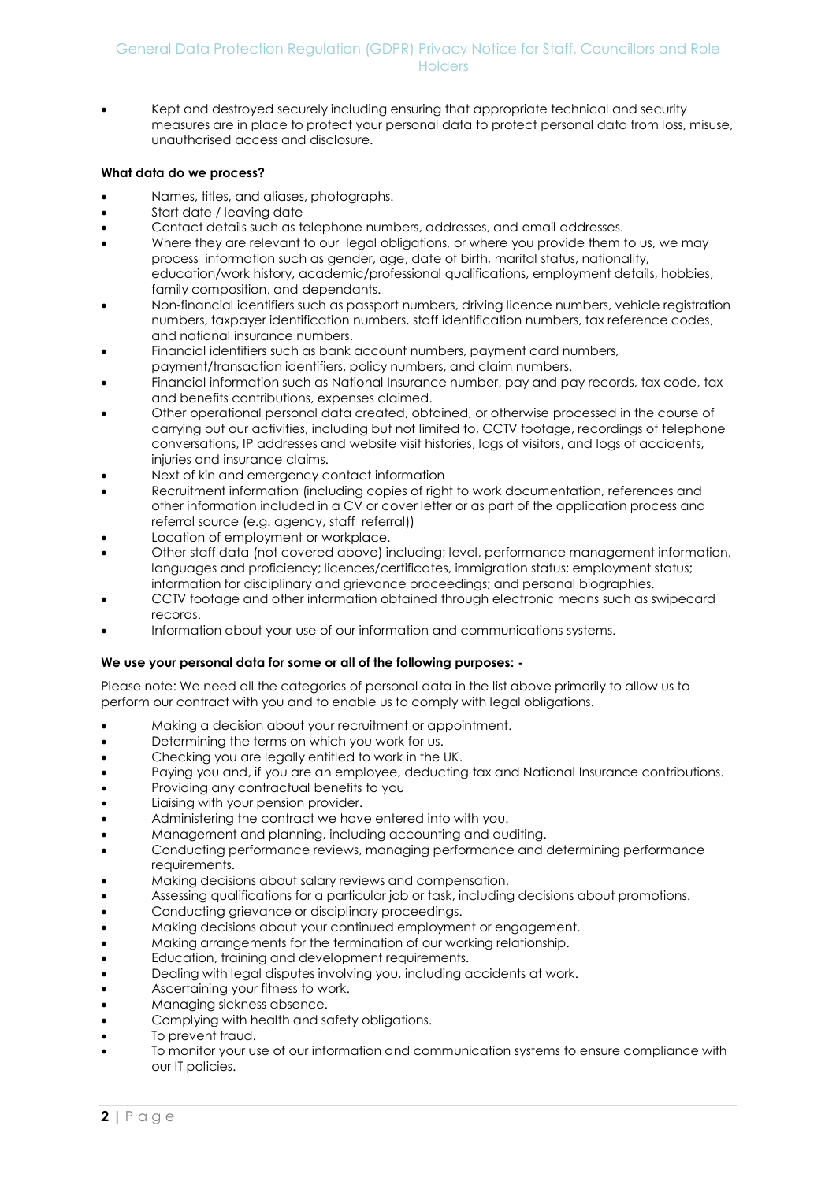# General Data Protection Regulation (GDPR) Privacy Notice for Staff, Councillors and Role **Holders**

 Kept and destroyed securely including ensuring that appropriate technical and security measures are in place to protect your personal data to protect personal data from loss, misuse, unauthorised access and disclosure.

## **What data do we process?**

- Names, titles, and aliases, photographs.
- Start date / leaving date
- Contact details such as telephone numbers, addresses, and email addresses.
- Where they are relevant to our legal obligations, or where you provide them to us, we may process information such as gender, age, date of birth, marital status, nationality, education/work history, academic/professional qualifications, employment details, hobbies, family composition, and dependants.
- Non-financial identifiers such as passport numbers, driving licence numbers, vehicle registration numbers, taxpayer identification numbers, staff identification numbers, tax reference codes, and national insurance numbers.
- Financial identifiers such as bank account numbers, payment card numbers, payment/transaction identifiers, policy numbers, and claim numbers.
- Financial information such as National Insurance number, pay and pay records, tax code, tax and benefits contributions, expenses claimed.
- Other operational personal data created, obtained, or otherwise processed in the course of carrying out our activities, including but not limited to, CCTV footage, recordings of telephone conversations, IP addresses and website visit histories, logs of visitors, and logs of accidents, injuries and insurance claims.
- Next of kin and emergency contact information
- Recruitment information (including copies of right to work documentation, references and other information included in a CV or cover letter or as part of the application process and referral source (e.g. agency, staff referral))
- Location of employment or workplace.
- Other staff data (not covered above) including; level, performance management information, languages and proficiency; licences/certificates, immigration status; employment status; information for disciplinary and grievance proceedings; and personal biographies.
- CCTV footage and other information obtained through electronic means such as swipecard records.
- Information about your use of our information and communications systems.

#### **We use your personal data for some or all of the following purposes: -**

Please note: We need all the categories of personal data in the list above primarily to allow us to perform our contract with you and to enable us to comply with legal obligations.

- Making a decision about your recruitment or appointment.
- Determining the terms on which you work for us.
- Checking you are legally entitled to work in the UK.
- Paying you and, if you are an employee, deducting tax and National Insurance contributions.
- Providing any contractual benefits to you
- Liaising with your pension provider.
- Administering the contract we have entered into with you.
- Management and planning, including accounting and auditing.
- Conducting performance reviews, managing performance and determining performance requirements.
- Making decisions about salary reviews and compensation.
- Assessing qualifications for a particular job or task, including decisions about promotions.
- Conducting grievance or disciplinary proceedings.
- Making decisions about your continued employment or engagement.
- Making arrangements for the termination of our working relationship.
- Education, training and development requirements.
- Dealing with legal disputes involving you, including accidents at work.
- Ascertaining your fitness to work.
- Managing sickness absence.
- Complying with health and safety obligations.
- To prevent fraud.
- To monitor your use of our information and communication systems to ensure compliance with our IT policies.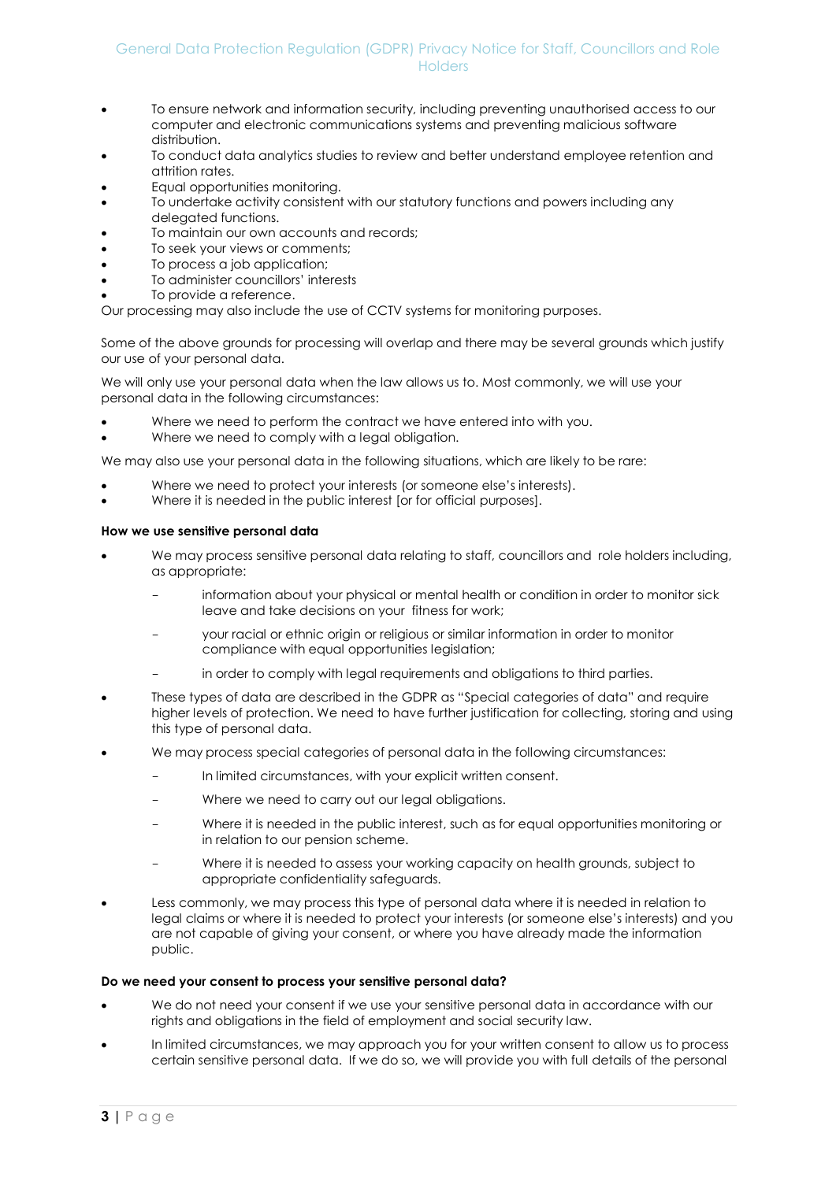# General Data Protection Regulation (GDPR) Privacy Notice for Staff, Councillors and Role **Holders**

- To ensure network and information security, including preventing unauthorised access to our computer and electronic communications systems and preventing malicious software distribution.
- To conduct data analytics studies to review and better understand employee retention and attrition rates.
- Equal opportunities monitoring.
- To undertake activity consistent with our statutory functions and powers including any delegated functions.
- To maintain our own accounts and records;
- To seek your views or comments;
- To process a job application;
- To administer councillors' interests
- To provide a reference.

Our processing may also include the use of CCTV systems for monitoring purposes.

Some of the above grounds for processing will overlap and there may be several grounds which justify our use of your personal data.

We will only use your personal data when the law allows us to. Most commonly, we will use your personal data in the following circumstances:

- Where we need to perform the contract we have entered into with you.
- Where we need to comply with a legal obligation.

We may also use your personal data in the following situations, which are likely to be rare:

- Where we need to protect your interests (or someone else's interests).
- Where it is needed in the public interest [or for official purposes].

#### **How we use sensitive personal data**

- We may process sensitive personal data relating to staff, councillors and role holders including, as appropriate:
	- information about your physical or mental health or condition in order to monitor sick leave and take decisions on your fitness for work;
	- your racial or ethnic origin or religious or similar information in order to monitor compliance with equal opportunities legislation;
	- in order to comply with legal requirements and obligations to third parties.
- These types of data are described in the GDPR as "Special categories of data" and require higher levels of protection. We need to have further justification for collecting, storing and using this type of personal data.
- We may process special categories of personal data in the following circumstances:
	- In limited circumstances, with your explicit written consent.
	- Where we need to carry out our legal obligations.
	- Where it is needed in the public interest, such as for equal opportunities monitoring or in relation to our pension scheme.
	- Where it is needed to assess your working capacity on health grounds, subject to appropriate confidentiality safeguards.
- Less commonly, we may process this type of personal data where it is needed in relation to legal claims or where it is needed to protect your interests (or someone else's interests) and you are not capable of giving your consent, or where you have already made the information public.

#### **Do we need your consent to process your sensitive personal data?**

- We do not need your consent if we use your sensitive personal data in accordance with our rights and obligations in the field of employment and social security law.
- In limited circumstances, we may approach you for your written consent to allow us to process certain sensitive personal data. If we do so, we will provide you with full details of the personal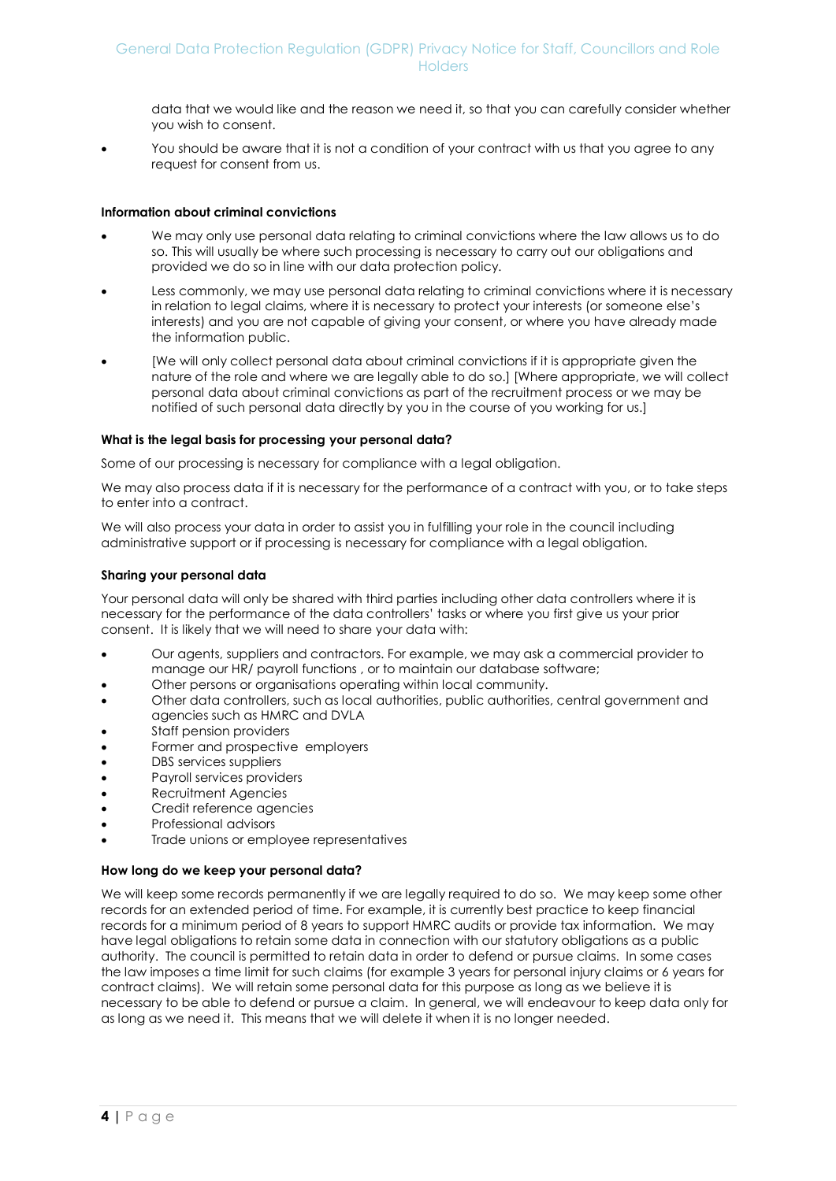data that we would like and the reason we need it, so that you can carefully consider whether you wish to consent.

You should be aware that it is not a condition of your contract with us that you agree to any request for consent from us.

#### **Information about criminal convictions**

- We may only use personal data relating to criminal convictions where the law allows us to do so. This will usually be where such processing is necessary to carry out our obligations and provided we do so in line with our data protection policy.
- Less commonly, we may use personal data relating to criminal convictions where it is necessary in relation to legal claims, where it is necessary to protect your interests (or someone else's interests) and you are not capable of giving your consent, or where you have already made the information public.
- [We will only collect personal data about criminal convictions if it is appropriate given the nature of the role and where we are legally able to do so.] [Where appropriate, we will collect personal data about criminal convictions as part of the recruitment process or we may be notified of such personal data directly by you in the course of you working for us.]

#### **What is the legal basis for processing your personal data?**

Some of our processing is necessary for compliance with a legal obligation.

We may also process data if it is necessary for the performance of a contract with you, or to take steps to enter into a contract.

We will also process your data in order to assist you in fulfilling your role in the council including administrative support or if processing is necessary for compliance with a legal obligation.

#### **Sharing your personal data**

Your personal data will only be shared with third parties including other data controllers where it is necessary for the performance of the data controllers' tasks or where you first give us your prior consent. It is likely that we will need to share your data with:

- Our agents, suppliers and contractors. For example, we may ask a commercial provider to manage our HR/ payroll functions , or to maintain our database software;
- Other persons or organisations operating within local community.
- Other data controllers, such as local authorities, public authorities, central government and agencies such as HMRC and DVLA
- Staff pension providers
- Former and prospective employers
- DBS services suppliers
- Payroll services providers
- Recruitment Agencies
- Credit reference agencies
- Professional advisors
- Trade unions or employee representatives

#### **How long do we keep your personal data?**

We will keep some records permanently if we are legally required to do so. We may keep some other records for an extended period of time. For example, it is currently best practice to keep financial records for a minimum period of 8 years to support HMRC audits or provide tax information. We may have legal obligations to retain some data in connection with our statutory obligations as a public authority. The council is permitted to retain data in order to defend or pursue claims. In some cases the law imposes a time limit for such claims (for example 3 years for personal injury claims or 6 years for contract claims). We will retain some personal data for this purpose as long as we believe it is necessary to be able to defend or pursue a claim. In general, we will endeavour to keep data only for as long as we need it. This means that we will delete it when it is no longer needed.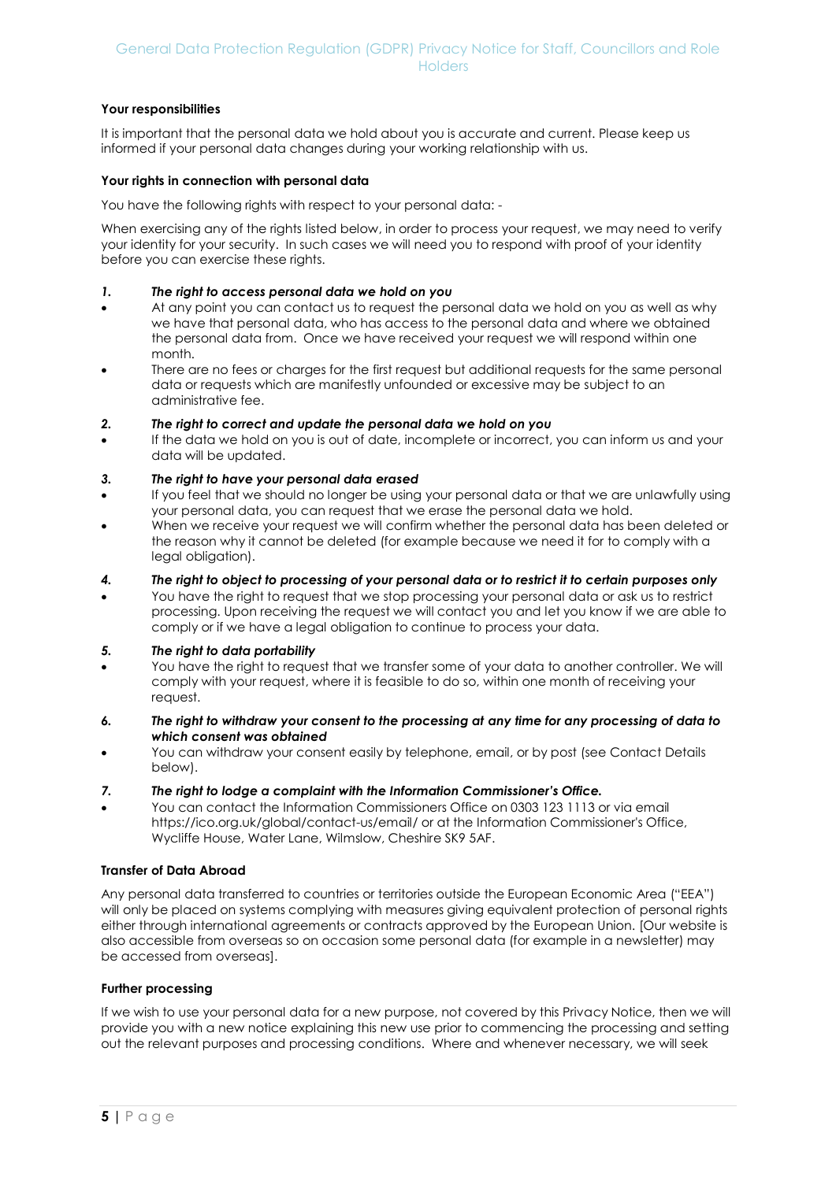## **Your responsibilities**

It is important that the personal data we hold about you is accurate and current. Please keep us informed if your personal data changes during your working relationship with us.

#### **Your rights in connection with personal data**

You have the following rights with respect to your personal data: -

When exercising any of the rights listed below, in order to process your request, we may need to verify your identity for your security. In such cases we will need you to respond with proof of your identity before you can exercise these rights.

#### *1. The right to access personal data we hold on you*

- At any point you can contact us to request the personal data we hold on you as well as why we have that personal data, who has access to the personal data and where we obtained the personal data from. Once we have received your request we will respond within one month.
- There are no fees or charges for the first request but additional requests for the same personal data or requests which are manifestly unfounded or excessive may be subject to an administrative fee.

#### *2. The right to correct and update the personal data we hold on you*

 If the data we hold on you is out of date, incomplete or incorrect, you can inform us and your data will be updated.

#### *3. The right to have your personal data erased*

- If you feel that we should no longer be using your personal data or that we are unlawfully using your personal data, you can request that we erase the personal data we hold.
- When we receive your request we will confirm whether the personal data has been deleted or the reason why it cannot be deleted (for example because we need it for to comply with a legal obligation).

#### *4. The right to object to processing of your personal data or to restrict it to certain purposes only*

You have the right to request that we stop processing your personal data or ask us to restrict processing. Upon receiving the request we will contact you and let you know if we are able to comply or if we have a legal obligation to continue to process your data.

#### *5. The right to data portability*

- You have the right to request that we transfer some of your data to another controller. We will comply with your request, where it is feasible to do so, within one month of receiving your request.
- *6. The right to withdraw your consent to the processing at any time for any processing of data to which consent was obtained*
- You can withdraw your consent easily by telephone, email, or by post (see Contact Details below).
- *7. The right to lodge a complaint with the Information Commissioner's Office.*
- You can contact the Information Commissioners Office on 0303 123 1113 or via email https://ico.org.uk/global/contact-us/email/ or at the Information Commissioner's Office, Wycliffe House, Water Lane, Wilmslow, Cheshire SK9 5AF.

#### **Transfer of Data Abroad**

Any personal data transferred to countries or territories outside the European Economic Area ("EEA") will only be placed on systems complying with measures giving equivalent protection of personal rights either through international agreements or contracts approved by the European Union. [Our website is also accessible from overseas so on occasion some personal data (for example in a newsletter) may be accessed from overseas].

## **Further processing**

If we wish to use your personal data for a new purpose, not covered by this Privacy Notice, then we will provide you with a new notice explaining this new use prior to commencing the processing and setting out the relevant purposes and processing conditions. Where and whenever necessary, we will seek